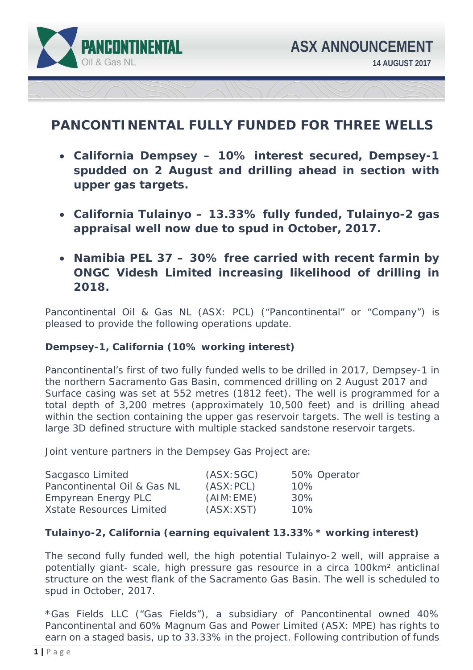

# **PANCONTINENTAL FULLY FUNDED FOR THREE WELLS**

- **California Dempsey 10% interest secured, Dempsey-1 spudded on 2 August and drilling ahead in section with upper gas targets.**
- **California Tulainyo 13.33% fully funded, Tulainyo-2 gas appraisal well now due to spud in October, 2017.**
- **Namibia PEL 37 30% free carried with recent farmin by ONGC Videsh Limited increasing likelihood of drilling in 2018.**

Pancontinental Oil & Gas NL (ASX: PCL) ("Pancontinental" or "Company") is pleased to provide the following operations update.

#### **Dempsey-1, California (10% working interest)**

Pancontinental's first of two fully funded wells to be drilled in 2017, Dempsey-1 in the northern Sacramento Gas Basin, commenced drilling on 2 August 2017 and Surface casing was set at 552 metres (1812 feet). The well is programmed for a total depth of 3,200 metres (approximately 10,500 feet) and is drilling ahead within the section containing the upper gas reservoir targets. The well is testing a large 3D defined structure with multiple stacked sandstone reservoir targets.

Joint venture partners in the Dempsey Gas Project are:

| Sacgasco Limited                | (ASK:SGC)  | 50% Operator |
|---------------------------------|------------|--------------|
| Pancontinental Oil & Gas NL     | (ASK: PCL) | $10\%$       |
| <b>Empyrean Energy PLC</b>      | (AIM:EME)  | 30%          |
| <b>Xstate Resources Limited</b> | (ASK: XST) | 10%          |

# **Tulainyo-2, California (earning equivalent 13.33%\* working interest)**

The second fully funded well, the high potential Tulainyo-2 well, will appraise a potentially giant- scale, high pressure gas resource in a circa 100km<sup>2</sup> anticlinal structure on the west flank of the Sacramento Gas Basin. The well is scheduled to spud in October, 2017.

\*Gas Fields LLC ("Gas Fields"), a subsidiary of Pancontinental owned 40% Pancontinental and 60% Magnum Gas and Power Limited (ASX: MPE) has rights to earn on a staged basis, up to 33.33% in the project. Following contribution of funds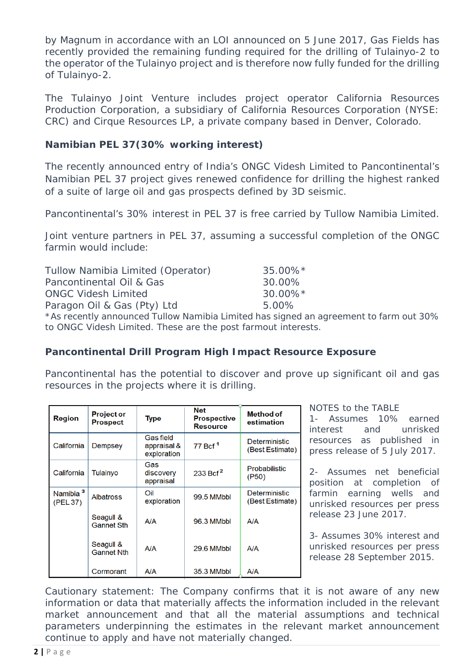by Magnum in accordance with an LOI announced on 5 June 2017, Gas Fields has recently provided the remaining funding required for the drilling of Tulainyo-2 to the operator of the Tulainyo project and is therefore now fully funded for the drilling of Tulainyo-2.

The Tulainyo Joint Venture includes project operator California Resources Production Corporation, a subsidiary of California Resources Corporation (NYSE: CRC) and Cirque Resources LP, a private company based in Denver, Colorado.

### **Namibian PEL 37(30% working interest)**

The recently announced entry of India's ONGC Videsh Limited to Pancontinental's Namibian PEL 37 project gives renewed confidence for drilling the highest ranked of a suite of large oil and gas prospects defined by 3D seismic.

Pancontinental's 30% interest in PEL 37 is free carried by Tullow Namibia Limited.

Joint venture partners in PEL 37, assuming a successful completion of the ONGC farmin would include:

| Tullow Namibia Limited (Operator)                           | 35.00%*     |
|-------------------------------------------------------------|-------------|
| Pancontinental Oil & Gas                                    | 30.00%      |
| <b>ONGC Videsh Limited</b>                                  | $30.00\%$ * |
| Paragon Oil & Gas (Pty) Ltd                                 | $5.00\%$    |
| *As recently announced Tullow Namibia Limited has signed an |             |

As recently announced Tullow Namibia Limited has signed an agreement to farm out 30% to ONGC Videsh Limited. These are the post farmout interests.

# **Pancontinental Drill Program High Impact Resource Exposure**

Pancontinental has the potential to discover and prove up significant oil and gas resources in the projects where it is drilling.

| <b>Region</b>                    | <b>Project or</b><br><b>Prospect</b> | <b>Type</b>                                    | <b>Net</b><br><b>Prospective</b><br><b>Resource</b> | <b>Method of</b><br>estimation          |
|----------------------------------|--------------------------------------|------------------------------------------------|-----------------------------------------------------|-----------------------------------------|
| California                       | Dempsey                              | <b>Gas field</b><br>appraisal &<br>exploration | 77 Bcf <sup>1</sup>                                 | <b>Deterministic</b><br>(Best Estimate) |
| California                       | Tulainvo                             | Gas<br>discovery<br>appraisal                  | 233 Bcf <sup>2</sup>                                | Probabilistic<br>( P50)                 |
| Namibia <sup>3</sup><br>(PEL 37) | <b>Albatross</b>                     | Oil<br>exploration                             | 99.5 MMbbl                                          | <b>Deterministic</b><br>(Best Estimate) |
|                                  | Seagull &<br><b>Gannet Sth</b>       | A/A                                            | 96.3 MMbbl                                          | A/A                                     |
|                                  | Seagull &<br><b>Gannet Nth</b>       | A/A                                            | 29.6 MMbbl                                          | A/A                                     |
|                                  | Cormorant                            | A/A                                            | 35.3 MMbbl                                          | <b>A/A</b>                              |

NOTES to the TABLE

1- Assumes 10% earned interest and unrisked resources *as published in press release of 5 July 2017.* 

2- Assumes net beneficial position at completion of farmin earning wells and unrisked resources *per press release 23 June 2017.* 

3- Assumes 30% interest and unrisked resources *per press release 28 September 2015.* 

*Cautionary statement: The Company confirms that it is not aware of any new*  information or data that materially affects the information included in the relevant *market announcement and that all the material assumptions and technical parameters underpinning the estimates in the relevant market announcement continue to apply and have not materially changed.*